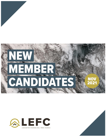



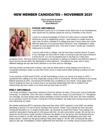# **NEW MEMBER CANDIDATES - NOVEMBER 2021**

**Chuck and Emily Archibald Ed and Stacev Hansen Sarah Matteson** 



#### **CHUCK ARCHIBALD**

I was blessed to grow up in a Christian home. Both sets of my Grandparents were saved and my parents raised me and my 2 brothers in the church.

I came to a saving knowledge of Christ at 5 years old at a vacation Bible School put on by a neighboring church. I was raised in a single church up until I was 18 when I headed to a college that was 8 hours away from home. With the absence of my parents direct influence I was challenged to make my faith my own during this time. This time is when I would say I started to really grow in my faith.

I met my wife Emily in college, and we have been married almost 19 years. In our marriage we have tried to make it a priority to get and stay involved in a local church. It is one my greatest joys to say that our 3 kids have

accepted Christ. The local church has played a crucial part in raising our children and offered a place to serve and be served within the fellowship of other believers. Throughout the years and in many different settings we can see God's direction in our lives and our marriage.

God has shown me that even in times I can't see his direct hand in some aspects of my life he is constantly working to make us more like Christ, and is in total control while working to protect us from ourselves.

In the summer of 2020 amid COVID, we felt God leading us from our church of 9 years to LEFC. I questioned this calling in our lives especially during a time of uncertainty. We felt confident in the strong biblical teaching at LEFC, but leaving the familiar was unsettling for your family. Once again God's hand in leading our lives as a family and in our personal relationship with Him is evident in the relationships we have made in our short time we have been at LEFC.

## **EMILY ARCHIBALD**

I am Emily Archibald. I have been married to Chuck for almost 19 years. Chuck and I met at Cedarville University, in Cedarville, Ohio. We have 3 children: Olivia (14), Susan (11) and Declan (7). Throughout our marriage, we have always been active members of local churches in the area. We were members at our previous church for 9 years. During the COVID shutdown, we really had a strong sense that God was redirecting our steps.

We started watching LEFC's services online and then when LEFC opened in June 2020, we started attending in person. On one of those Sundays that summer, Pastor Tony noticed we were new and introduced himself to us. A couple months later, we received an email from Pastor Tony asking if we would be interested in being part of a life group with him, his wife and another couple. We all met as a group for the first time in early October to discuss the details of our life group. We mentioned that we were very excited to "do life" with each other. A week later, I received devastating news that I had breast cancer. I texted our life group asking if they were ready to "do life" with us because life was about to get real. Immediately, Kristen replied that she had been on a similar cancer journey (which I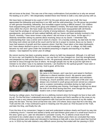did not know at the time). This was one of the many confirmations God provided as to why we sensed His leading us to LEFC—We desperately needed these new friends to walk a very dark journey with us.

We have been so blessed to be a part of LEFC for the past almost year and a half. We have appreciated the fellowship and teaching in our ABF and the solid preaching. Our life group has provided us with genuine friendship, fellowship, and incredible support during a difficult season. Our children have enjoyed being part of the youth group and children's ministry. We have been welcomed by so many within the church. We have made new friends and have been reacquainted with old friends. I have had the privilege of coming from a family of strong believers. My great-grandparents, grandparents, and parents all have walked faithfully with our Savior and been actively involved in the church. Honestly, I have never known a day where I did not know or love Jesus. At the age of 4, I distinctly remember asking my parents about receiving Jesus as my Savior. I remember fully understanding that I was a sinner and in need of a Savior. On a Sunday evening, my dad took me into the living room where we knelt at the couch and he led me in prayer to receive Jesus as my Savior. I have had seasons of growth and then seasons where I feel like I have taken a few steps backwards, but I have always desired to grow in my love and knowledge of the Lord. In college, my faith really became my own and I grew under the wonderful preaching in chapels and teaching in my Bible classes. I was baptized my senior year of college.

My cancer journey has been a growing season, where my faith has deepened. Although, it is still hard for me to say I am thankful for the journey, I can say that it is has changed me. God has strengthened and deepened my faith and dependence on Him. He graciously allowed me to physically see the hands and feet of Jesus through the love of others. He brought people into my life at just the right time to minister to me when I was in my darkest moments. I am thankful for the spiritual growth I have seen in my life as a result of the cancer journey. God is good, all the time.



## **ED HANSEN**

My name is Ed Hansen, and I was born and raised in Northern California in a liberal mainline church. My parents were public school educators and regular church attenders and volunteers. Growing up, church activities were a major part of life and I was always very involved in youth group and even served as a deacon and on a pastor nominating committee during my high school years, but something was missing. God began convicting me about the truth of His Word during that time, even though the church leaders took a more skeptical approach.

During my college years, God brought me to a defining moment when He brought me face to face with my sin. For the first time I understood personally my sin nature and God's sacrifice on the cross on my behalf. It was a very intense personal experience with God and the worst moment of my life melted away into the best. The key verse at that time was John 14:6 where Jesus says that He is the Way, the Truth and the Life. It has continued to grow in meaning over the years as I first focused on the Truth, and later the Way, and finally the Life.

From the time of my conversion I began to read and understand scripture clearly and found my way into a believing church. I married and started a family and had thirteen good years in a small local church in the area I grew up in. Later we relocated to Lancaster County, PA, to attend a local church that promised to be a better place to raise our children. After fourteen years there we concluded that many of those promises were empty and relocated to Harrisburg to help with a new church plant that God led us to. In 2016 my first wife started a very difficult cancer journey that ended with her passing in 2019.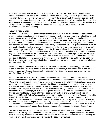Later that year I met Stacey and soon realized what a precious soul she is. Based on our mutual commitment to the Lord Jesus, we formed a friendship and eventually decided to get married. As we considered where God would have us serve together in His kingdom, LEFC was our first choice to try and soon we were convinced that this is where He would have us tie in. We appreciate the combination of strong convictions about the Word and kingdom of God and the humility of admitting we don't have it all figured out. I currently work in human resources for a company that does construction, transportation, and manufacturing.

# **STACEY HANSEN**

I was raised in a home that went to church for the first few years of my life. Honestly, I don't remember much of it other than at some point, something happened with the church when my dad got laid off and my parents never went back regularly. However, they did continue to send me to confirmation classes. Fast forward to high school and I had a friend who I had known since I was 4 years old bring me to a retreat. I remember a lot of focus on me becoming a believer and a woman taking some time by herself to witness to me. I remember "accepting" Jesus as my savior at that time, but quickly returned to life as normal. Nothing had really changed in my heart. I spent the next two years pursuing acceptance from others through various activities; going to concerts, drinking, and partying. In the middle of my college career, I transferred to Bloomsburg University. My first week on campus I went to a fraternity party one night and Fellowship of Christian Athletes the next. It was there I decided to spend my time and it was there I developed friendships that have endured a lifetime. It was also the place I committed to Christ and decided to follow Him all the days of my life. Early on God put the verse Matthew 6:19-21on my heart. In my infancy as a Christian, I didn't understand the verse for its full value, but now work to focus on those things that matter to God.

*Do not store up for yourselves treasures on earth, where moths and vermin destroy, and where thieves break in and steal. But store up for yourselves treasures in heaven, where moths and vermin do not destroy, and where thieves do not break in and steal. For where your treasure is, there your heart will be also.* (Matthew 6:19-21)

Most of my adult life was spent in a non-denominational church where I studied and served Christ. I made connections and had a strong community for 20 years. It was there that I learned how to grow in Christ and my faith became more mature. However, at a point in my late 30s I felt restless with my job as a public-school teacher and life in upstate NY. I began to question my career and staying in Vestal the rest of my life. It was then I started to pursue a master's degree in counseling through Messiah College. After 4 ½ years it was time to complete my degree through internships. I decided that to be successful at the internships, I would have to quit my teaching job. I took a huge leap of faith and trusted God would provide the next landing spot. On my last day of teaching, I was offered an internship at Messiah College's counseling center for the entire next school year. In August, I moved to Camp Hill and finished my degree that next spring. I was offered a job before I graduated and eventually met my husband. The verse that has had a huge impact on my life and speaks to me even more as I have watched the power of Christ in my life is Ephesians 3:20-21. *Now to him who is able to do immeasurably more than all we ask or imagine, according to his power that is at work within us, to him be glory in the church and in Christ Jesus throughout all generations, for ever and ever! Amen.*

We mutually agreed to try LEFC as our church home last fall. I had been attending LEFC off and on when I would visit my best friend over the last 20+ years. I knew it was the place I wanted to connect with, but soon my husband felt the same. We have found that the vision of the church is something we want to align ourselves with and serve alongside the body of Christ here.